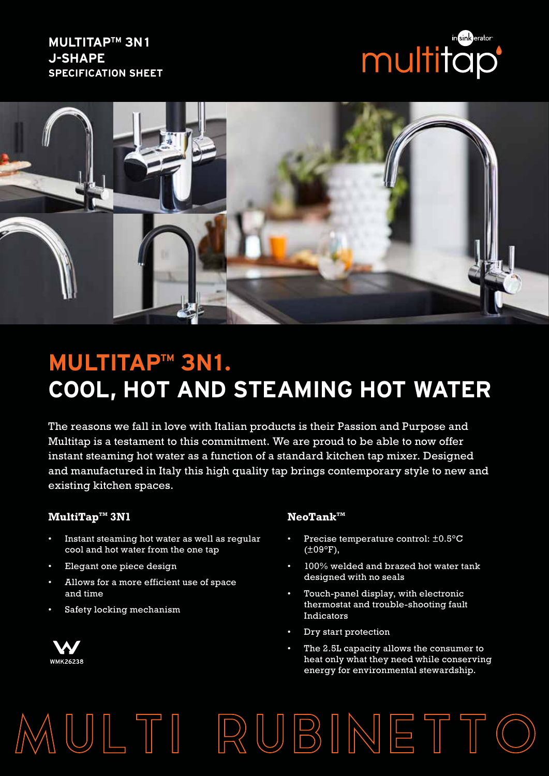# **MULTITAPTM 3N1 J-SHAPE SPECIFICATION SHEET**





# **MULTITAP™ 3N1. COOL, HOT AND STEAMING HOT WATER**

The reasons we fall in love with Italian products is their Passion and Purpose and Multitap is a testament to this commitment. We are proud to be able to now offer instant steaming hot water as a function of a standard kitchen tap mixer. Designed and manufactured in Italy this high quality tap brings contemporary style to new and existing kitchen spaces.

MULTI RUBINETTO

### $\mathbf{MultiTap}^{\mathsf{TM}}$  **3N1 NeoTank**™

- Instant steaming hot water as well as regular cool and hot water from the one tap
- Elegant one piece design
- Allows for a more efficient use of space and time
- Safety locking mechanism



- Precise temperature control: ±0.5°C (±09°F),
- 100% welded and brazed hot water tank designed with no seals
- Touch-panel display, with electronic thermostat and trouble-shooting fault Indicators
- Dry start protection
- The 2.5L capacity allows the consumer to heat only what they need while conserving energy for environmental stewardship.